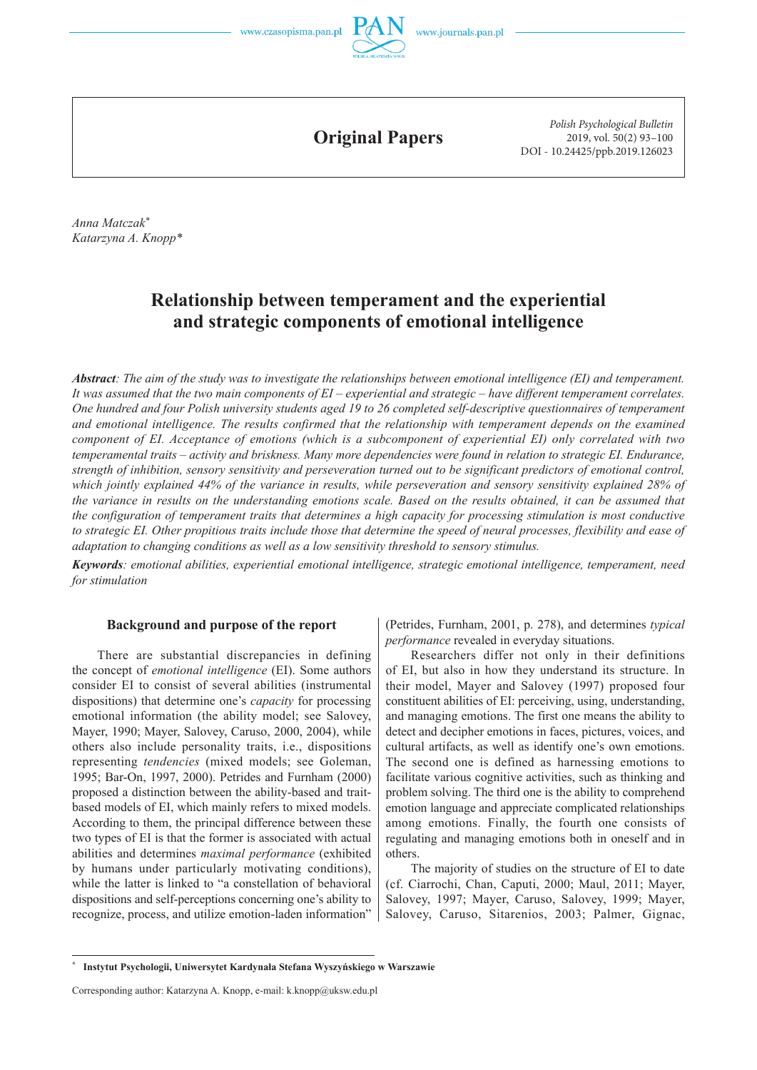



**Original Papers**

*Polish Psychological Bulletin* 2019, vol. 50(2) 93–100 DOI - 10.24425/ppb.2019.126023

*Anna Matczak\* Katarzyna A. Knopp\**

# **Relationship between temperament and the experiential and strategic components of emotional intelligence**

*Abstract: The aim of the study was to investigate the relationships between emotional intelligence (EI) and temperament. It was assumed that the two main components of EI – experiential and strategic – have different temperament correlates. One hundred and four Polish university students aged 19 to 26 completed self-descriptive questionnaires of temperament*  and emotional intelligence. The results confirmed that the relationship with temperament depends on the examined *component of EI. Acceptance of emotions (which is a subcomponent of experiential EI) only correlated with two temperamental traits – activity and briskness. Many more dependencies were found in relation to strategic EI. Endurance, strength of inhibition, sensory sensitivity and perseveration turned out to be significant predictors of emotional control, which jointly explained 44% of the variance in results, while perseveration and sensory sensitivity explained 28% of the variance in results on the understanding emotions scale. Based on the results obtained, it can be assumed that the configuration of temperament traits that determines a high capacity for processing stimulation is most conductive to strategic EI. Other propitious traits include those that determine the speed of neural processes, flexibility and ease of adaptation to changing conditions as well as a low sensitivity threshold to sensory stimulus.*

*Keywords: emotional abilities, experiential emotional intelligence, strategic emotional intelligence, temperament, need for stimulation*

# **Background and purpose of the report**

There are substantial discrepancies in defining the concept of *emotional intelligence* (EI). Some authors consider EI to consist of several abilities (instrumental dispositions) that determine one's *capacity* for processing emotional information (the ability model; see Salovey, Mayer, 1990; Mayer, Salovey, Caruso, 2000, 2004), while others also include personality traits, i.e., dispositions representing *tendencies* (mixed models; see Goleman, 1995; Bar-On, 1997, 2000). Petrides and Furnham (2000) proposed a distinction between the ability-based and traitbased models of EI, which mainly refers to mixed models. According to them, the principal difference between these two types of EI is that the former is associated with actual abilities and determines *maximal performance* (exhibited by humans under particularly motivating conditions), while the latter is linked to "a constellation of behavioral dispositions and self-perceptions concerning one's ability to recognize, process, and utilize emotion-laden information"

(Petrides, Furnham, 2001, p. 278), and determines *typical performance* revealed in everyday situations.

Researchers differ not only in their definitions of EI, but also in how they understand its structure. In their model, Mayer and Salovey (1997) proposed four constituent abilities of EI: perceiving, using, understanding, and managing emotions. The first one means the ability to detect and decipher emotions in faces, pictures, voices, and cultural artifacts, as well as identify one's own emotions. The second one is defined as harnessing emotions to facilitate various cognitive activities, such as thinking and problem solving. The third one is the ability to comprehend emotion language and appreciate complicated relationships among emotions. Finally, the fourth one consists of regulating and managing emotions both in oneself and in others.

The majority of studies on the structure of EI to date (cf. Ciarrochi, Chan, Caputi, 2000; Maul, 2011; Mayer, Salovey, 1997; Mayer, Caruso, Salovey, 1999; Mayer, Salovey, Caruso, Sitarenios, 2003; Palmer, Gignac,

**<sup>\*</sup> Instytut Psychologii, Uniwersytet Kardynała Stefana Wyszyńskiego w Warszawie**

Corresponding author: Katarzyna A. Knopp, e-mail: k.knopp@uksw.edu.pl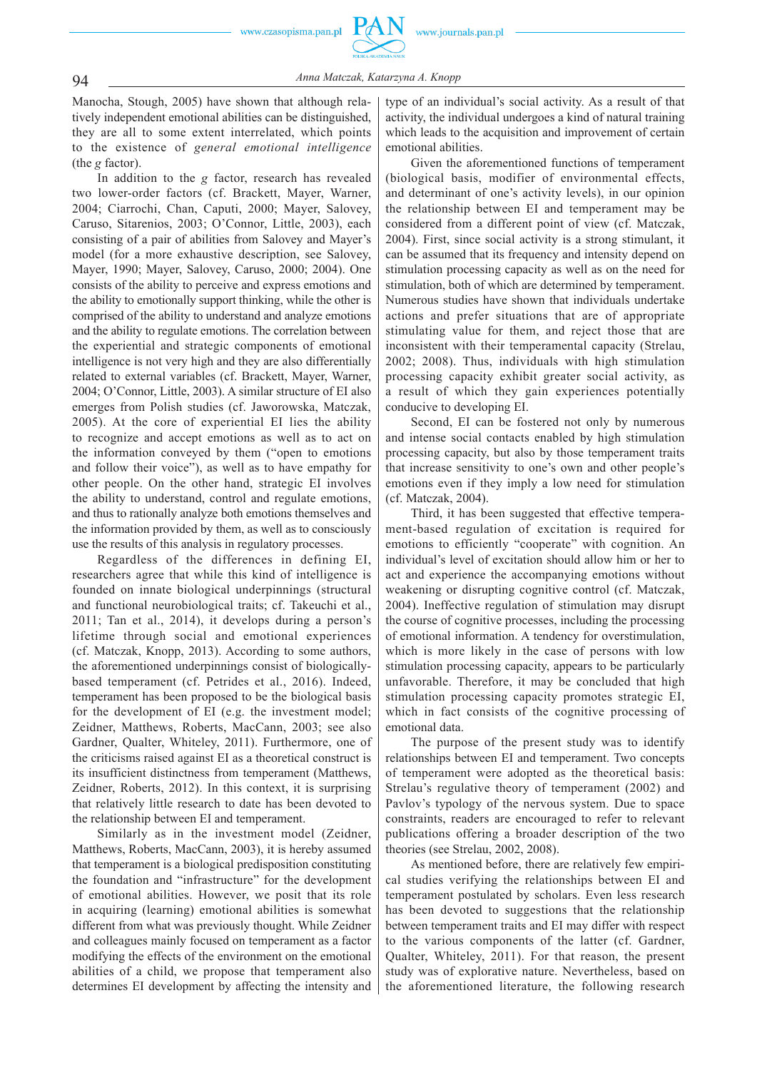94 *Anna Matczak, Katarzyna A. Knopp*

Manocha, Stough, 2005) have shown that although relatively independent emotional abilities can be distinguished, they are all to some extent interrelated, which points to the existence of *general emotional intelligence* (the *g* factor).

In addition to the *g* factor, research has revealed two lower-order factors (cf. Brackett, Mayer, Warner, 2004; Ciarrochi, Chan, Caputi, 2000; Mayer, Salovey, Caruso, Sitarenios, 2003; O'Connor, Little, 2003), each consisting of a pair of abilities from Salovey and Mayer's model (for a more exhaustive description, see Salovey, Mayer, 1990; Mayer, Salovey, Caruso, 2000; 2004). One consists of the ability to perceive and express emotions and the ability to emotionally support thinking, while the other is comprised of the ability to understand and analyze emotions and the ability to regulate emotions. The correlation between the experiential and strategic components of emotional intelligence is not very high and they are also differentially related to external variables (cf. Brackett, Mayer, Warner, 2004; O'Connor, Little, 2003). A similar structure of EI also emerges from Polish studies (cf. Jaworowska, Matczak, 2005). At the core of experiential EI lies the ability to recognize and accept emotions as well as to act on the information conveyed by them ("open to emotions and follow their voice"), as well as to have empathy for other people. On the other hand, strategic EI involves the ability to understand, control and regulate emotions, and thus to rationally analyze both emotions themselves and the information provided by them, as well as to consciously use the results of this analysis in regulatory processes.

Regardless of the differences in defining EI, researchers agree that while this kind of intelligence is founded on innate biological underpinnings (structural and functional neurobiological traits; cf. Takeuchi et al., 2011; Tan et al., 2014), it develops during a person's lifetime through social and emotional experiences (cf. Matczak, Knopp, 2013). According to some authors, the aforementioned underpinnings consist of biologicallybased temperament (cf. Petrides et al., 2016). Indeed, temperament has been proposed to be the biological basis for the development of EI (e.g. the investment model; Zeidner, Matthews, Roberts, MacCann, 2003; see also Gardner, Qualter, Whiteley, 2011). Furthermore, one of the criticisms raised against EI as a theoretical construct is its insufficient distinctness from temperament (Matthews, Zeidner, Roberts, 2012). In this context, it is surprising that relatively little research to date has been devoted to the relationship between EI and temperament.

Similarly as in the investment model (Zeidner, Matthews, Roberts, MacCann, 2003), it is hereby assumed that temperament is a biological predisposition constituting the foundation and "infrastructure" for the development of emotional abilities. However, we posit that its role in acquiring (learning) emotional abilities is somewhat different from what was previously thought. While Zeidner and colleagues mainly focused on temperament as a factor modifying the effects of the environment on the emotional abilities of a child, we propose that temperament also determines EI development by affecting the intensity and type of an individual's social activity. As a result of that activity, the individual undergoes a kind of natural training which leads to the acquisition and improvement of certain emotional abilities.

Given the aforementioned functions of temperament (biological basis, modifier of environmental effects, and determinant of one's activity levels), in our opinion the relationship between EI and temperament may be considered from a different point of view (cf. Matczak, 2004). First, since social activity is a strong stimulant, it can be assumed that its frequency and intensity depend on stimulation processing capacity as well as on the need for stimulation, both of which are determined by temperament. Numerous studies have shown that individuals undertake actions and prefer situations that are of appropriate stimulating value for them, and reject those that are inconsistent with their temperamental capacity (Strelau, 2002; 2008). Thus, individuals with high stimulation processing capacity exhibit greater social activity, as a result of which they gain experiences potentially conducive to developing EI.

Second, EI can be fostered not only by numerous and intense social contacts enabled by high stimulation processing capacity, but also by those temperament traits that increase sensitivity to one's own and other people's emotions even if they imply a low need for stimulation (cf. Matczak, 2004).

Third, it has been suggested that effective temperament-based regulation of excitation is required for emotions to efficiently "cooperate" with cognition. An individual's level of excitation should allow him or her to act and experience the accompanying emotions without weakening or disrupting cognitive control (cf. Matczak, 2004). Ineffective regulation of stimulation may disrupt the course of cognitive processes, including the processing of emotional information. A tendency for overstimulation, which is more likely in the case of persons with low stimulation processing capacity, appears to be particularly unfavorable. Therefore, it may be concluded that high stimulation processing capacity promotes strategic EI, which in fact consists of the cognitive processing of emotional data.

The purpose of the present study was to identify relationships between EI and temperament. Two concepts of temperament were adopted as the theoretical basis: Strelau's regulative theory of temperament (2002) and Pavlov's typology of the nervous system. Due to space constraints, readers are encouraged to refer to relevant publications offering a broader description of the two theories (see Strelau, 2002, 2008).

As mentioned before, there are relatively few empirical studies verifying the relationships between EI and temperament postulated by scholars. Even less research has been devoted to suggestions that the relationship between temperament traits and EI may differ with respect to the various components of the latter (cf. Gardner, Qualter, Whiteley, 2011). For that reason, the present study was of explorative nature. Nevertheless, based on the aforementioned literature, the following research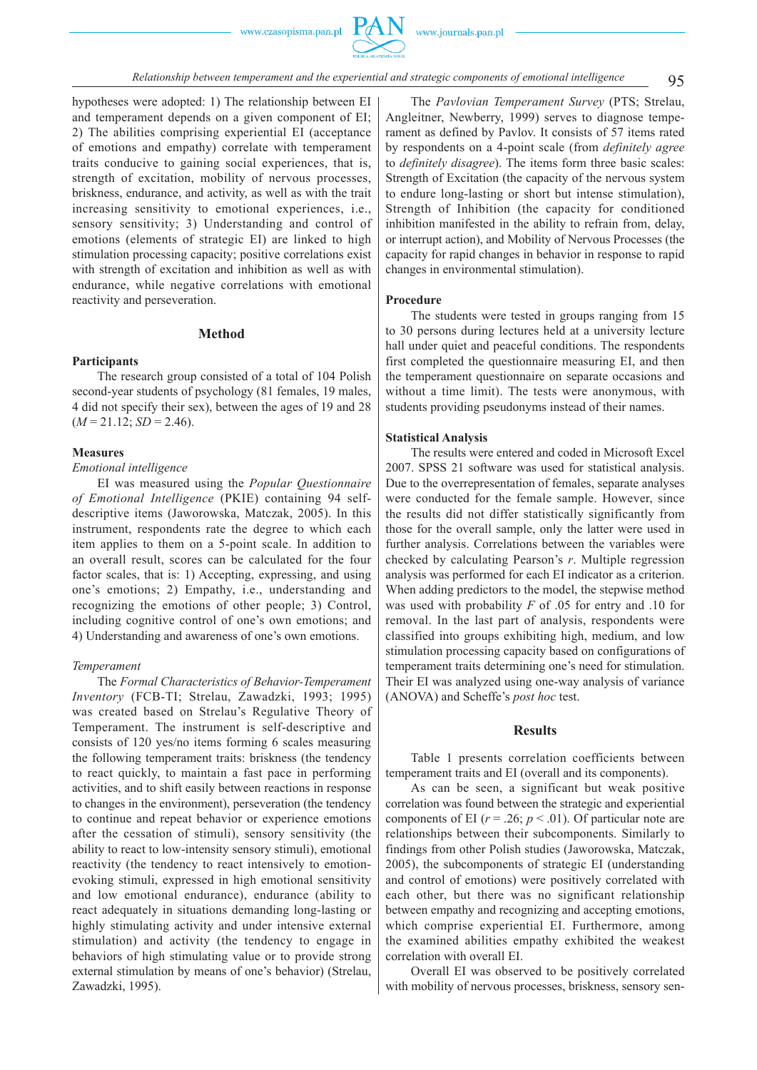

95 *Relationship between temperament and the experiential and strategic components of emotional intelligence*

hypotheses were adopted: 1) The relationship between EI and temperament depends on a given component of EI; 2) The abilities comprising experiential EI (acceptance of emotions and empathy) correlate with temperament traits conducive to gaining social experiences, that is, strength of excitation, mobility of nervous processes, briskness, endurance, and activity, as well as with the trait increasing sensitivity to emotional experiences, i.e., sensory sensitivity; 3) Understanding and control of emotions (elements of strategic EI) are linked to high stimulation processing capacity; positive correlations exist with strength of excitation and inhibition as well as with endurance, while negative correlations with emotional reactivity and perseveration.

# **Method**

# **Participants**

The research group consisted of a total of 104 Polish second-year students of psychology (81 females, 19 males, 4 did not specify their sex), between the ages of 19 and 28  $(M = 21.12; SD = 2.46).$ 

# **Measures**

#### *Emotional intelligence*

EI was measured using the *Popular Questionnaire of Emotional Intelligence* (PKIE) containing 94 selfdescriptive items (Jaworowska, Matczak, 2005). In this instrument, respondents rate the degree to which each item applies to them on a 5-point scale. In addition to an overall result, scores can be calculated for the four factor scales, that is: 1) Accepting, expressing, and using one's emotions; 2) Empathy, i.e., understanding and recognizing the emotions of other people; 3) Control, including cognitive control of one's own emotions; and 4) Understanding and awareness of one's own emotions.

#### *Temperament*

The *Formal Characteristics of Behavior-Temperament Inventory* (FCB-TI; Strelau, Zawadzki, 1993; 1995) was created based on Strelau's Regulative Theory of Temperament. The instrument is self-descriptive and consists of 120 yes/no items forming 6 scales measuring the following temperament traits: briskness (the tendency to react quickly, to maintain a fast pace in performing activities, and to shift easily between reactions in response to changes in the environment), perseveration (the tendency to continue and repeat behavior or experience emotions after the cessation of stimuli), sensory sensitivity (the ability to react to low-intensity sensory stimuli), emotional reactivity (the tendency to react intensively to emotionevoking stimuli, expressed in high emotional sensitivity and low emotional endurance), endurance (ability to react adequately in situations demanding long-lasting or highly stimulating activity and under intensive external stimulation) and activity (the tendency to engage in behaviors of high stimulating value or to provide strong external stimulation by means of one's behavior) (Strelau, Zawadzki, 1995).

The *Pavlovian Temperament Survey* (PTS; Strelau, Angleitner, Newberry, 1999) serves to diagnose temperament as defined by Pavlov. It consists of 57 items rated by respondents on a 4-point scale (from *definitely agree* to *definitely disagree*). The items form three basic scales: Strength of Excitation (the capacity of the nervous system to endure long-lasting or short but intense stimulation), Strength of Inhibition (the capacity for conditioned inhibition manifested in the ability to refrain from, delay, or interrupt action), and Mobility of Nervous Processes (the capacity for rapid changes in behavior in response to rapid changes in environmental stimulation).

# **Procedure**

The students were tested in groups ranging from 15 to 30 persons during lectures held at a university lecture hall under quiet and peaceful conditions. The respondents first completed the questionnaire measuring EI, and then the temperament questionnaire on separate occasions and without a time limit). The tests were anonymous, with students providing pseudonyms instead of their names.

#### **Statistical Analysis**

The results were entered and coded in Microsoft Excel 2007. SPSS 21 software was used for statistical analysis. Due to the overrepresentation of females, separate analyses were conducted for the female sample. However, since the results did not differ statistically significantly from those for the overall sample, only the latter were used in further analysis. Correlations between the variables were checked by calculating Pearson's *r*. Multiple regression analysis was performed for each EI indicator as a criterion. When adding predictors to the model, the stepwise method was used with probability *F* of .05 for entry and .10 for removal. In the last part of analysis, respondents were classified into groups exhibiting high, medium, and low stimulation processing capacity based on configurations of temperament traits determining one's need for stimulation. Their EI was analyzed using one-way analysis of variance (ANOVA) and Scheffe's *post hoc* test.

#### **Results**

Table 1 presents correlation coefficients between temperament traits and EI (overall and its components).

As can be seen, a significant but weak positive correlation was found between the strategic and experiential components of EI ( $r = .26$ ;  $p < .01$ ). Of particular note are relationships between their subcomponents. Similarly to findings from other Polish studies (Jaworowska, Matczak, 2005), the subcomponents of strategic EI (understanding and control of emotions) were positively correlated with each other, but there was no significant relationship between empathy and recognizing and accepting emotions, which comprise experiential EI. Furthermore, among the examined abilities empathy exhibited the weakest correlation with overall EI.

Overall EI was observed to be positively correlated with mobility of nervous processes, briskness, sensory sen-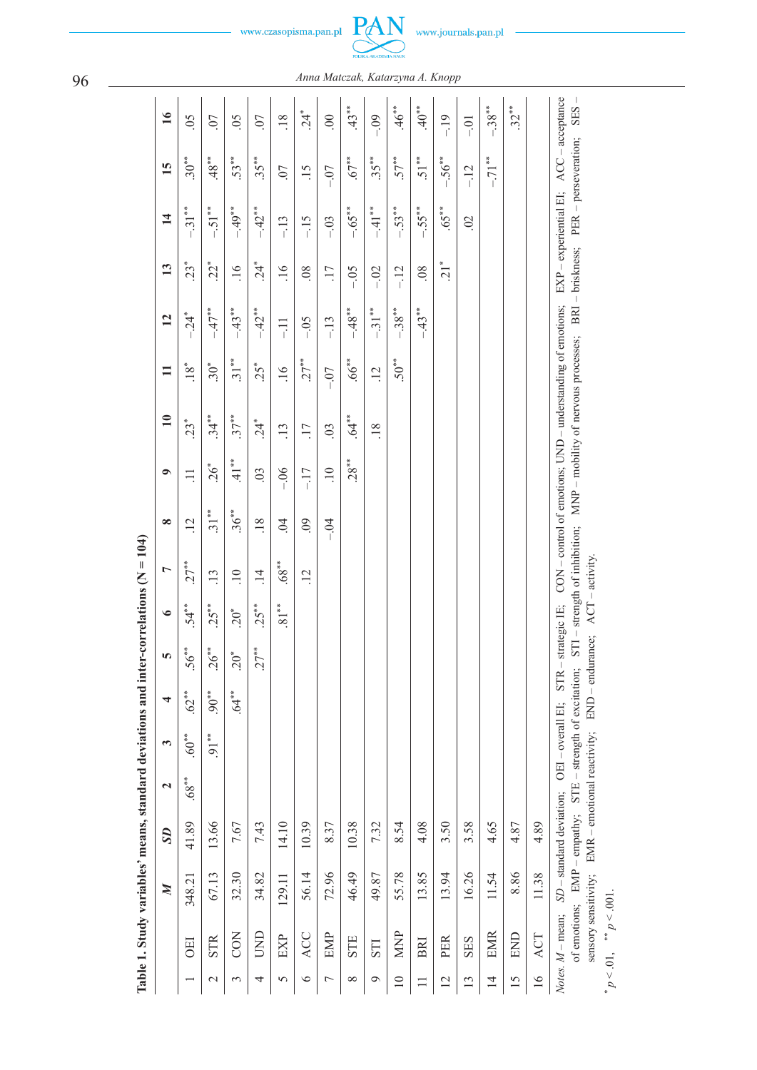

|                 | Table 1. Study variables' means, standard deviations and inter-correlations ( $N = 104$ ) |                  |                          |                       |                 |                                             |          |                      |                 |                 |                                                             |                 |                 |                    |                |                                                                                                                                    |                  |                               |
|-----------------|-------------------------------------------------------------------------------------------|------------------|--------------------------|-----------------------|-----------------|---------------------------------------------|----------|----------------------|-----------------|-----------------|-------------------------------------------------------------|-----------------|-----------------|--------------------|----------------|------------------------------------------------------------------------------------------------------------------------------------|------------------|-------------------------------|
|                 |                                                                                           | $\boldsymbol{M}$ | S <sub>D</sub>           | $\mathbf{\mathbf{z}}$ | 3               | 4                                           | S        | $\bullet$            | L               | $\infty$        | $\bullet$                                                   | $\mathbf{10}$   | $\equiv$        | $\overline{12}$    | 13             | $\overline{1}$                                                                                                                     | 15               | $\overline{16}$               |
|                 | <b>DEI</b>                                                                                | 348.21           | 41.89                    | $68**$                | $.60***$        | $62**$                                      | $.56***$ | $.54**$              | $27**$          | $\overline{12}$ | $\Xi$                                                       | $23*$           | $.18*$          | $-24$ <sup>*</sup> | $23*$          | $-31***$                                                                                                                           | $.30***$         | $\overline{50}$               |
| $\mathcal{L}$   | <b>STR</b>                                                                                | 67.13            | 13.66                    |                       | $91***$         | $90^{**}$                                   | $.26***$ | $25**$               | $\overline{13}$ | $31**$          | $.26*$                                                      | $.34***$        | $.30*$          | $-47**$            | $22*$          | $-.51**$                                                                                                                           | $.48**$          | .07                           |
| 3               | <b>CON</b>                                                                                | 32.30            | 7.67                     |                       |                 | $64**$                                      | $20^{*}$ | $20*$                | $\overline{10}$ | $.36***$        | $41$ <sup>**</sup>                                          | $.37***$        | $.31***$        | $-.43**$           | $\frac{16}{1}$ | $-49**$                                                                                                                            | 53**             | $\widetilde{\mathrm{SO}}$     |
| 4               | UND                                                                                       | 34.82            | 7.43                     |                       |                 |                                             | $.27***$ | $25**$               | $\overline{14}$ | .18             | $\overline{0}$                                              | $24*$           | $25*$           | $-42**$            | $24*$          | $-42**$                                                                                                                            | $.35***$         | .07                           |
| 5               | EXP                                                                                       | 129.11           | 14.10                    |                       |                 |                                             |          | $\overline{81}^{**}$ | $.68***$        | $\ddot{5}$      | $-06$                                                       | $\overline{13}$ | $\frac{1}{6}$   | $\Xi$              | $\frac{16}{1}$ | $-13$                                                                                                                              | $\overline{0}$ . | 18                            |
| $\circ$         | ACC                                                                                       | 56.14            | 10.39                    |                       |                 |                                             |          |                      | $\overline{12}$ | $\overline{60}$ | $-17$                                                       | 17              | $.27***$        | $-0.5$             | .08            | $-15$                                                                                                                              | $\ddot{5}$       | $24*$                         |
| $\overline{ }$  | EMP                                                                                       | 72.96            | 8.37                     |                       |                 |                                             |          |                      |                 | $-0.4$          | $\overline{10}$                                             | $\overline{0}$  | $-07$           | $-13$              | 17             | $-03$                                                                                                                              | $-0$             | $\odot$                       |
| $\infty$        | <b>STE</b>                                                                                | 46.49            | 10.38                    |                       |                 |                                             |          |                      |                 |                 | $28***$                                                     | $.64**$         | $66^{***}$      | $-48**$            | $-0.5$         | $-.65***$                                                                                                                          | $.67***$         | $43**$                        |
| $\circ$         | <b>STI</b>                                                                                | 49.87            | 7.32                     |                       |                 |                                             |          |                      |                 |                 |                                                             | .18             | $\overline{12}$ | $-.31**$           | $-02$          | $-41**$                                                                                                                            | $.35***$         | $-0.09$                       |
| $\equiv$        | <b>MNP</b>                                                                                | 55.78            | 8.54                     |                       |                 |                                             |          |                      |                 |                 |                                                             |                 | $50**$          | $-.38***$          | $-12$          | $-53***$                                                                                                                           | $.57***$         | $.46**$                       |
| $\Box$          | BRI                                                                                       | 13.85            | 4.08                     |                       |                 |                                             |          |                      |                 |                 |                                                             |                 |                 | $-43**$            | 08             | $-.55***$                                                                                                                          | $.51**$          | $40^{**}$                     |
| $\overline{2}$  | PER                                                                                       | 13.94            | 3.50                     |                       |                 |                                             |          |                      |                 |                 |                                                             |                 |                 |                    | $\frac{1}{2}$  | $.65***$                                                                                                                           | $-.56**$         | $-19$                         |
| 13              | <b>SES</b>                                                                                | 16.26            | 3.58                     |                       |                 |                                             |          |                      |                 |                 |                                                             |                 |                 |                    |                | $\approx$                                                                                                                          | $-12$            | $-0$                          |
| $\overline{4}$  | <b>EMR</b>                                                                                | 11.54            | 4.65                     |                       |                 |                                             |          |                      |                 |                 |                                                             |                 |                 |                    |                |                                                                                                                                    | $-.71$ **        | $-.38**$                      |
| 15              | END                                                                                       | 8.86             | 4.87                     |                       |                 |                                             |          |                      |                 |                 |                                                             |                 |                 |                    |                |                                                                                                                                    |                  | $32***$                       |
| $\overline{16}$ | ACT                                                                                       | 11.38            | 4.89                     |                       |                 |                                             |          |                      |                 |                 |                                                             |                 |                 |                    |                |                                                                                                                                    |                  |                               |
|                 | of emotions; EMP - empathy;<br>Notes. M - mean;                                           |                  | SD - standard deviation; |                       | OEI-overall EI; | STE - strength of excitation;<br><b>STR</b> | $\mid$   | strategic IE;        |                 |                 | CON - control of emotions; UND - understanding of emotions; |                 |                 |                    |                | STI – strength of inhibition; MNP – mobility of nervous processes; BRI – briskness; PER – perseveration;<br>EXP - experiential EI; |                  | $ACC - acceptance$<br>$-$ SES |

sensory sensitivity;  $EMR - enoidal reactivity$ ;  $END - endurance$ ;  $ACT - activity$ .

sensory sensitivity;  $EMR$  – emotional reactivity;  $END$  – endurance;  $ACT$  – activity.

\*

 $p < 0.01$ , \*\*  $p < 0.001$ .

96 *Anna Matczak, Katarzyna A. Knopp*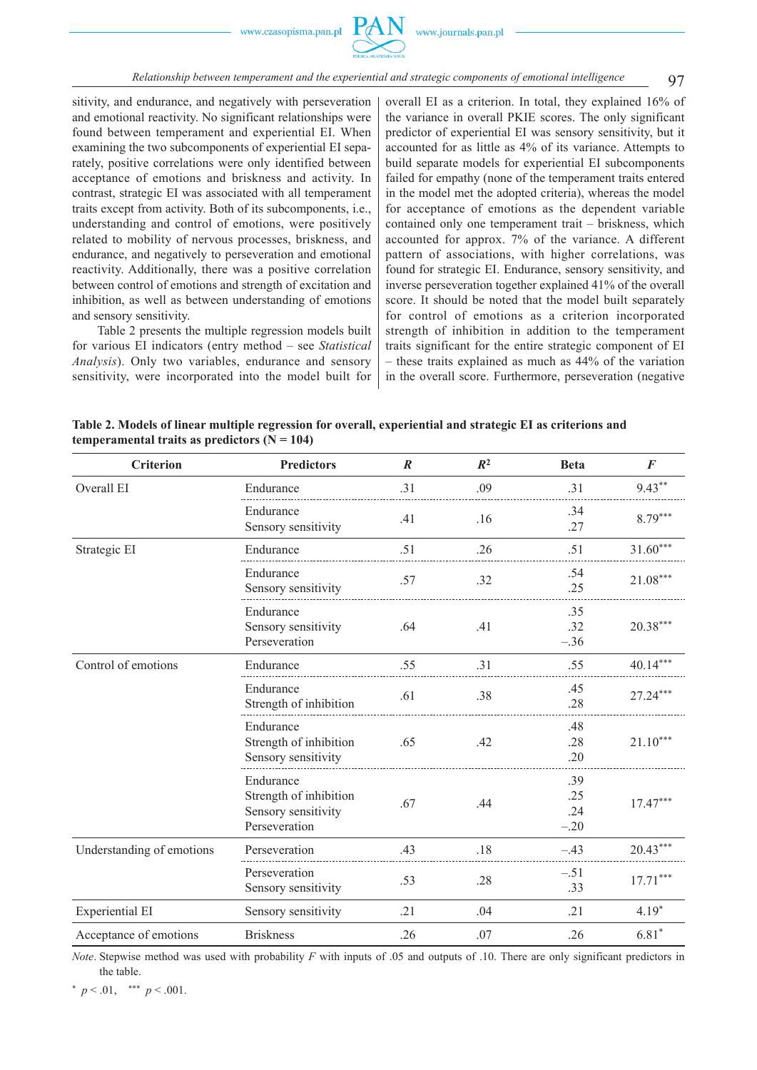

# 97 *Relationship between temperament and the experiential and strategic components of emotional intelligence*

sitivity, and endurance, and negatively with perseveration and emotional reactivity. No significant relationships were found between temperament and experiential EI. When examining the two subcomponents of experiential EI separately, positive correlations were only identified between acceptance of emotions and briskness and activity. In contrast, strategic EI was associated with all temperament traits except from activity. Both of its subcomponents, i.e., understanding and control of emotions, were positively related to mobility of nervous processes, briskness, and endurance, and negatively to perseveration and emotional reactivity. Additionally, there was a positive correlation between control of emotions and strength of excitation and inhibition, as well as between understanding of emotions and sensory sensitivity.

Table 2 presents the multiple regression models built for various EI indicators (entry method – see *Statistical Analysis*). Only two variables, endurance and sensory sensitivity, were incorporated into the model built for

overall EI as a criterion. In total, they explained 16% of the variance in overall PKIE scores. The only significant predictor of experiential EI was sensory sensitivity, but it accounted for as little as 4% of its variance. Attempts to build separate models for experiential EI subcomponents failed for empathy (none of the temperament traits entered in the model met the adopted criteria), whereas the model for acceptance of emotions as the dependent variable contained only one temperament trait – briskness, which accounted for approx. 7% of the variance. A different pattern of associations, with higher correlations, was found for strategic EI. Endurance, sensory sensitivity, and inverse perseveration together explained 41% of the overall score. It should be noted that the model built separately for control of emotions as a criterion incorporated strength of inhibition in addition to the temperament traits significant for the entire strategic component of EI – these traits explained as much as 44% of the variation in the overall score. Furthermore, perseveration (negative

**Table 2. Models of linear multiple regression for overall, experiential and strategic EI as criterions and**  temperamental traits as predictors  $(N = 104)$ 

| <b>Criterion</b>          | <b>Predictors</b>                                                           | $\boldsymbol{R}$ | $R^2$ | <b>Beta</b>                 | $\boldsymbol{F}$ |
|---------------------------|-----------------------------------------------------------------------------|------------------|-------|-----------------------------|------------------|
| Overall EI                | Endurance                                                                   | .31              | .09   | .31                         | $9.43***$        |
|                           | Endurance<br>Sensory sensitivity                                            | .41              | .16   | .34<br>.27                  | $8.79***$        |
| Strategic EI              | Endurance                                                                   | .51              | .26   | .51                         | $31.60***$       |
|                           | Endurance<br>Sensory sensitivity                                            | .57              | .32   | .54<br>.25                  | $21.08***$       |
|                           | Endurance<br>Sensory sensitivity<br>Perseveration                           | .64              | .41   | .35<br>.32<br>$-.36$        | $20.38***$       |
| Control of emotions       | Endurance                                                                   | .55              | .31   | .55                         | $40.14***$       |
|                           | Endurance<br>Strength of inhibition                                         | .61              | .38   | .45<br>.28                  | $27.24***$       |
|                           | Endurance<br>Strength of inhibition<br>Sensory sensitivity                  | .65              | .42   | .48<br>.28<br>.20           | $21.10***$       |
|                           | Endurance<br>Strength of inhibition<br>Sensory sensitivity<br>Perseveration | .67              | .44   | .39<br>.25<br>.24<br>$-.20$ | $17.47***$       |
| Understanding of emotions | Perseveration                                                               | .43              | .18   | $-.43$                      | $20.43***$       |
|                           | Perseveration<br>Sensory sensitivity                                        | .53              | .28   | $-.51$<br>.33               | $17.71***$       |
| Experiential EI           | Sensory sensitivity                                                         | .21              | .04   | .21                         | $4.19*$          |
| Acceptance of emotions    | <b>Briskness</b>                                                            | .26              | .07   | .26                         | $6.81*$          |

*Note*. Stepwise method was used with probability *F* with inputs of .05 and outputs of .10. There are only significant predictors in the table.

 $*$   $p < .01$ ,  $**$   $p < .001$ .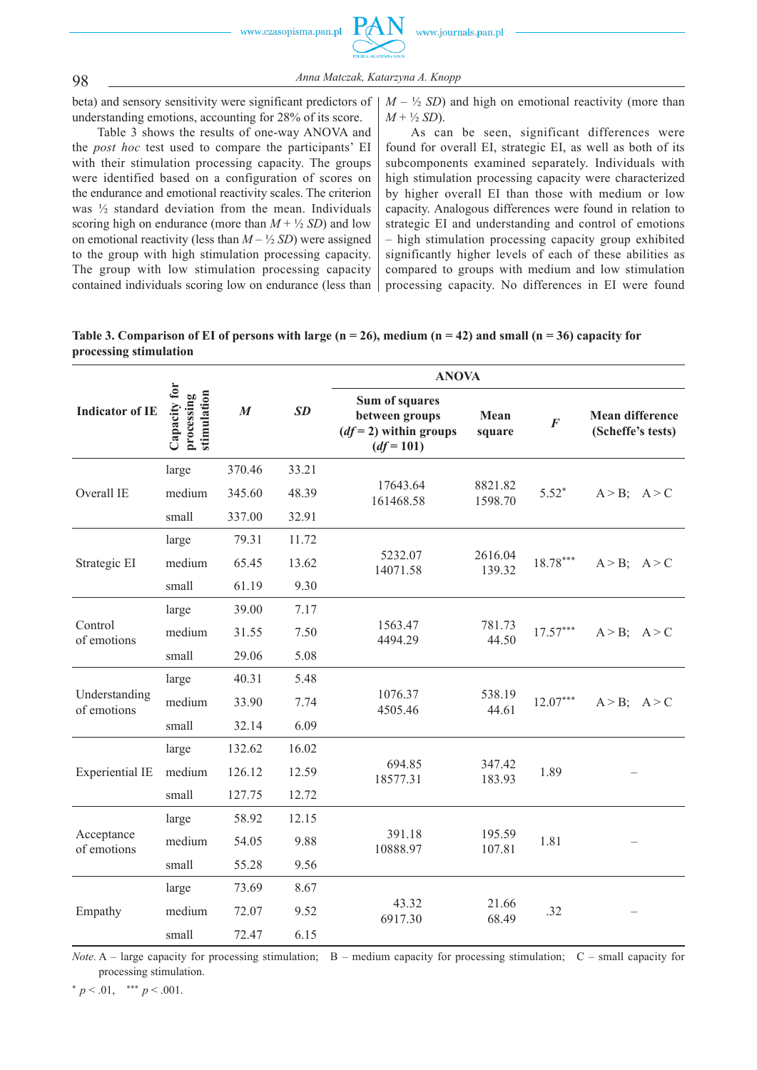

98 *Anna Matczak, Katarzyna A. Knopp*

beta) and sensory sensitivity were significant predictors of understanding emotions, accounting for 28% of its score.

Table 3 shows the results of one-way ANOVA and the *post hoc* test used to compare the participants' EI with their stimulation processing capacity. The groups were identified based on a configuration of scores on the endurance and emotional reactivity scales. The criterion was ½ standard deviation from the mean. Individuals scoring high on endurance (more than  $M + \frac{1}{2}$  *SD*) and low on emotional reactivity (less than  $M - \frac{1}{2}$  *SD*) were assigned to the group with high stimulation processing capacity. The group with low stimulation processing capacity contained individuals scoring low on endurance (less than

 $M - \frac{1}{2}$  *SD*) and high on emotional reactivity (more than  $M + \frac{1}{2} SD$ .

As can be seen, significant differences were found for overall EI, strategic EI, as well as both of its subcomponents examined separately. Individuals with high stimulation processing capacity were characterized by higher overall EI than those with medium or low capacity. Analogous differences were found in relation to strategic EI and understanding and control of emotions – high stimulation processing capacity group exhibited significantly higher levels of each of these abilities as compared to groups with medium and low stimulation processing capacity. No differences in EI were found

| Table 3. Comparison of EI of persons with large $(n = 26)$ , medium $(n = 42)$ and small $(n = 36)$ capacity for |  |  |
|------------------------------------------------------------------------------------------------------------------|--|--|
| processing stimulation                                                                                           |  |  |

|                              |                                           |                  |       | <b>ANOVA</b>                                                               |                    |                |                                             |
|------------------------------|-------------------------------------------|------------------|-------|----------------------------------------------------------------------------|--------------------|----------------|---------------------------------------------|
| <b>Indicator of IE</b>       | Capacity for<br>processing<br>stimulation | $\boldsymbol{M}$ | SD    | Sum of squares<br>between groups<br>$(df=2)$ within groups<br>$(df = 101)$ | Mean<br>square     | $\overline{F}$ | <b>Mean difference</b><br>(Scheffe's tests) |
|                              | large                                     | 370.46           | 33.21 |                                                                            |                    |                |                                             |
| Overall IE                   | medium                                    | 345.60           | 48.39 | 17643.64<br>161468.58                                                      | 8821.82<br>1598.70 | $5.52*$        | $A > B$ ; $A > C$                           |
|                              | small                                     | 337.00           | 32.91 |                                                                            |                    |                |                                             |
|                              | large                                     | 79.31            | 11.72 |                                                                            |                    |                |                                             |
| Strategic EI                 | medium                                    | 65.45            | 13.62 | 5232.07<br>14071.58                                                        | 2616.04<br>139.32  | $18.78***$     | $A > B$ ; $A > C$                           |
|                              | small                                     | 61.19            | 9.30  |                                                                            |                    |                |                                             |
|                              | large                                     | 39.00            | 7.17  |                                                                            |                    |                |                                             |
| Control<br>of emotions       | medium                                    | 31.55            | 7.50  | 1563.47<br>4494.29                                                         | 781.73<br>44.50    | $17.57***$     | $A > B$ ; $A > C$                           |
|                              | small                                     | 29.06            | 5.08  |                                                                            |                    |                |                                             |
|                              | large                                     | 40.31            | 5.48  |                                                                            |                    |                |                                             |
| Understanding<br>of emotions | medium                                    | 33.90            | 7.74  | 1076.37<br>4505.46                                                         | 538.19<br>44.61    | $12.07***$     | $A > B$ ; $A > C$                           |
|                              | small                                     | 32.14            | 6.09  |                                                                            |                    |                |                                             |
|                              | large                                     | 132.62           | 16.02 |                                                                            |                    |                |                                             |
| <b>Experiential IE</b>       | medium                                    | 126.12           | 12.59 | 694.85<br>18577.31                                                         | 347.42<br>183.93   | 1.89           |                                             |
|                              | small                                     | 127.75           | 12.72 |                                                                            |                    |                |                                             |
| Acceptance<br>of emotions    | large                                     | 58.92            | 12.15 | 391.18<br>10888.97                                                         | 195.59<br>107.81   | 1.81           |                                             |
|                              | medium                                    | 54.05            | 9.88  |                                                                            |                    |                |                                             |
|                              | small                                     | 55.28            | 9.56  |                                                                            |                    |                |                                             |
|                              | large                                     | 73.69            | 8.67  |                                                                            |                    |                |                                             |
| Empathy                      | medium                                    | 72.07            | 9.52  | 43.32<br>6917.30                                                           | 21.66<br>68.49     | .32            |                                             |
|                              | small                                     | 72.47            | 6.15  |                                                                            |                    |                |                                             |

*Note.* A – large capacity for processing stimulation; B – medium capacity for processing stimulation; C – small capacity for processing stimulation.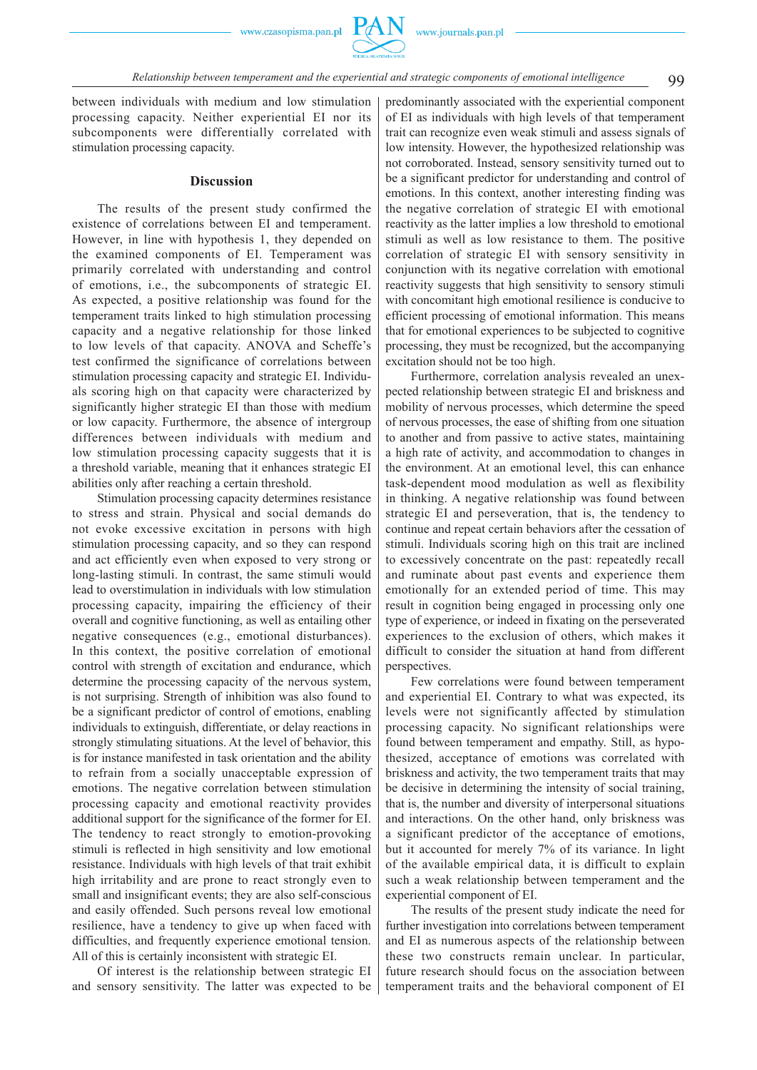

between individuals with medium and low stimulation processing capacity. Neither experiential EI nor its subcomponents were differentially correlated with stimulation processing capacity.

#### **Discussion**

The results of the present study confirmed the existence of correlations between EI and temperament. However, in line with hypothesis 1, they depended on the examined components of EI. Temperament was primarily correlated with understanding and control of emotions, i.e., the subcomponents of strategic EI. As expected, a positive relationship was found for the temperament traits linked to high stimulation processing capacity and a negative relationship for those linked to low levels of that capacity. ANOVA and Scheffe's test confirmed the significance of correlations between stimulation processing capacity and strategic EI. Individuals scoring high on that capacity were characterized by significantly higher strategic EI than those with medium or low capacity. Furthermore, the absence of intergroup differences between individuals with medium and low stimulation processing capacity suggests that it is a threshold variable, meaning that it enhances strategic EI abilities only after reaching a certain threshold.

Stimulation processing capacity determines resistance to stress and strain. Physical and social demands do not evoke excessive excitation in persons with high stimulation processing capacity, and so they can respond and act efficiently even when exposed to very strong or long-lasting stimuli. In contrast, the same stimuli would lead to overstimulation in individuals with low stimulation processing capacity, impairing the efficiency of their overall and cognitive functioning, as well as entailing other negative consequences (e.g., emotional disturbances). In this context, the positive correlation of emotional control with strength of excitation and endurance, which determine the processing capacity of the nervous system, is not surprising. Strength of inhibition was also found to be a significant predictor of control of emotions, enabling individuals to extinguish, differentiate, or delay reactions in strongly stimulating situations. At the level of behavior, this is for instance manifested in task orientation and the ability to refrain from a socially unacceptable expression of emotions. The negative correlation between stimulation processing capacity and emotional reactivity provides additional support for the significance of the former for EI. The tendency to react strongly to emotion-provoking stimuli is reflected in high sensitivity and low emotional resistance. Individuals with high levels of that trait exhibit high irritability and are prone to react strongly even to small and insignificant events; they are also self-conscious and easily offended. Such persons reveal low emotional resilience, have a tendency to give up when faced with difficulties, and frequently experience emotional tension. All of this is certainly inconsistent with strategic EI.

Of interest is the relationship between strategic EI and sensory sensitivity. The latter was expected to be predominantly associated with the experiential component of EI as individuals with high levels of that temperament trait can recognize even weak stimuli and assess signals of low intensity. However, the hypothesized relationship was not corroborated. Instead, sensory sensitivity turned out to be a significant predictor for understanding and control of emotions. In this context, another interesting finding was the negative correlation of strategic EI with emotional reactivity as the latter implies a low threshold to emotional stimuli as well as low resistance to them. The positive correlation of strategic EI with sensory sensitivity in conjunction with its negative correlation with emotional reactivity suggests that high sensitivity to sensory stimuli with concomitant high emotional resilience is conducive to efficient processing of emotional information. This means that for emotional experiences to be subjected to cognitive processing, they must be recognized, but the accompanying excitation should not be too high.

Furthermore, correlation analysis revealed an unexpected relationship between strategic EI and briskness and mobility of nervous processes, which determine the speed of nervous processes, the ease of shifting from one situation to another and from passive to active states, maintaining a high rate of activity, and accommodation to changes in the environment. At an emotional level, this can enhance task-dependent mood modulation as well as flexibility in thinking. A negative relationship was found between strategic EI and perseveration, that is, the tendency to continue and repeat certain behaviors after the cessation of stimuli. Individuals scoring high on this trait are inclined to excessively concentrate on the past: repeatedly recall and ruminate about past events and experience them emotionally for an extended period of time. This may result in cognition being engaged in processing only one type of experience, or indeed in fixating on the perseverated experiences to the exclusion of others, which makes it difficult to consider the situation at hand from different perspectives.

Few correlations were found between temperament and experiential EI. Contrary to what was expected, its levels were not significantly affected by stimulation processing capacity. No significant relationships were found between temperament and empathy. Still, as hypothesized, acceptance of emotions was correlated with briskness and activity, the two temperament traits that may be decisive in determining the intensity of social training, that is, the number and diversity of interpersonal situations and interactions. On the other hand, only briskness was a significant predictor of the acceptance of emotions, but it accounted for merely 7% of its variance. In light of the available empirical data, it is difficult to explain such a weak relationship between temperament and the experiential component of EI.

The results of the present study indicate the need for further investigation into correlations between temperament and EI as numerous aspects of the relationship between these two constructs remain unclear. In particular, future research should focus on the association between temperament traits and the behavioral component of EI